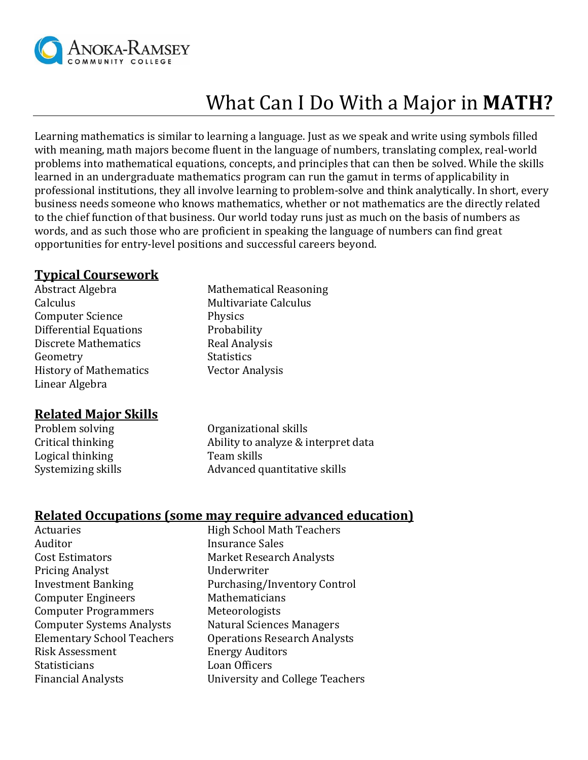

# What Can I Do With a Major in **MATH?**

Learning mathematics is similar to learning a language. Just as we speak and write using symbols filled with meaning, math majors become fluent in the language of numbers, translating complex, real-world problems into mathematical equations, concepts, and principles that can then be solved. While the skills learned in an undergraduate mathematics program can run the gamut in terms of applicability in professional institutions, they all involve learning to problem-solve and think analytically. In short, every business needs someone who knows mathematics, whether or not mathematics are the directly related to the chief function of that business. Our world today runs just as much on the basis of numbers as words, and as such those who are proficient in speaking the language of numbers can find great opportunities for entry-level positions and successful careers beyond.

#### **Typical Coursework**

Abstract Algebra Mathematical Reasoning Calculus **Calculus** Multivariate Calculus Computer Science Physics Differential Equations Probability Discrete Mathematics Real Analysis Geometry Statistics History of Mathematics Vector Analysis Linear Algebra

## **Related Major Skills**

Logical thinking Team skills

Problem solving Organizational skills Critical thinking Ability to analyze & interpret data Systemizing skills **Advanced quantitative skills** 

## **Related Occupations (some may require advanced education)**

Auditor **Insurance Sales** Cost Estimators Market Research Analysts Pricing Analyst Underwriter Computer Engineers Mathematicians Computer Programmers Meteorologists Risk Assessment Energy Auditors Statisticians **Loan Officers** 

Actuaries **High School Math Teachers** Investment Banking Purchasing/Inventory Control Computer Systems Analysts Natural Sciences Managers Elementary School Teachers Operations Research Analysts Financial Analysts University and College Teachers